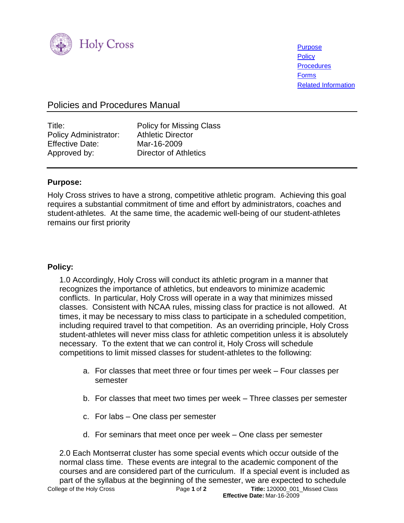

**[Purpose](#page-0-0) [Policy](#page-0-1) [Procedures](#page-1-0)** [Forms](#page-1-1) [Related Information](#page-1-2)

# Policies and Procedures Manual

| Title:                       |  |
|------------------------------|--|
| <b>Policy Administrator:</b> |  |
| <b>Effective Date:</b>       |  |
| Approved by:                 |  |

Policy for Missing Class **Athletic Director** Mar-16-2009 Director of Athletics

#### <span id="page-0-0"></span>**Purpose:**

Holy Cross strives to have a strong, competitive athletic program. Achieving this goal requires a substantial commitment of time and effort by administrators, coaches and student-athletes. At the same time, the academic well-being of our student-athletes remains our first priority

## <span id="page-0-1"></span>**Policy:**

1.0 Accordingly, Holy Cross will conduct its athletic program in a manner that recognizes the importance of athletics, but endeavors to minimize academic conflicts. In particular, Holy Cross will operate in a way that minimizes missed classes. Consistent with NCAA rules, missing class for practice is not allowed. At times, it may be necessary to miss class to participate in a scheduled competition, including required travel to that competition. As an overriding principle, Holy Cross student-athletes will never miss class for athletic competition unless it is absolutely necessary. To the extent that we can control it, Holy Cross will schedule competitions to limit missed classes for student-athletes to the following:

- a. For classes that meet three or four times per week Four classes per semester
- b. For classes that meet two times per week Three classes per semester
- c. For labs One class per semester
- d. For seminars that meet once per week One class per semester

College of the Holy Cross Page **1** of **2 Title:** 120000\_001\_Missed Class  **Effective Date:** Mar-16-2009 2.0 Each Montserrat cluster has some special events which occur outside of the normal class time. These events are integral to the academic component of the courses and are considered part of the curriculum. If a special event is included as part of the syllabus at the beginning of the semester, we are expected to schedule